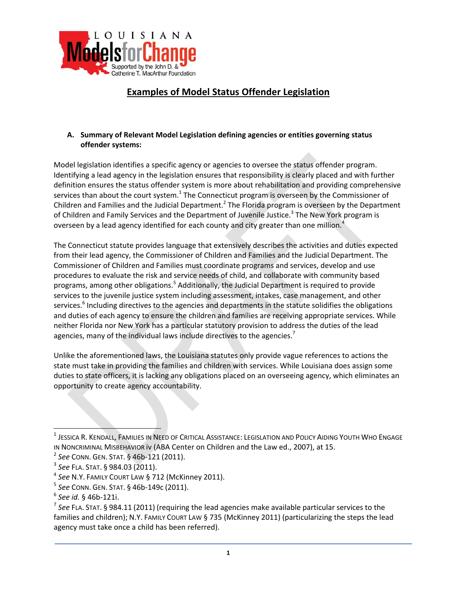

# **Examples of Model Status Offender Legislation**

### **A. Summary of Relevant Model Legislation defining agencies or entities governing status offender systems:**

Model legislation identifies a specific agency or agencies to oversee the status offender program. Identifying a lead agency in the legislation ensures that responsibility is clearly placed and with further definition ensures the status offender system is more about rehabilitation and providing comprehensive services than about the court system. $<sup>1</sup>$  The Connecticut program is overseen by the Commissioner of</sup> Children and Families and the Judicial Department.<sup>2</sup> The Florida program is overseen by the Department of Children and Family Services and the Department of Juvenile Justice.<sup>3</sup> The New York program is overseen by a lead agency identified for each county and city greater than one million.<sup>4</sup>

The Connecticut statute provides language that extensively describes the activities and duties expected from their lead agency, the Commissioner of Children and Families and the Judicial Department. The Commissioner of Children and Families must coordinate programs and services, develop and use procedures to evaluate the risk and service needs of child, and collaborate with community based programs, among other obligations.<sup>5</sup> Additionally, the Judicial Department is required to provide services to the juvenile justice system including assessment, intakes, case management, and other services.<sup>6</sup> Including directives to the agencies and departments in the statute solidifies the obligations and duties of each agency to ensure the children and families are receiving appropriate services. While neither Florida nor New York has a particular statutory provision to address the duties of the lead agencies, many of the individual laws include directives to the agencies.<sup>7</sup>

Unlike the aforementioned laws, the Louisiana statutes only provide vague references to actions the state must take in providing the families and children with services. While Louisiana does assign some duties to state officers, it is lacking any obligations placed on an overseeing agency, which eliminates an opportunity to create agency accountability.

<sup>1</sup> JESSICA R. KENDALL, FAMILIES IN NEED OF CRITICAL ASSISTANCE: LEGISLATION AND POLICY AIDING YOUTH WHO ENGAGE IN NONCRIMINAL MISBEHAVIOR iv (ABA Center on Children and the Law ed., 2007), at 15.

<sup>2</sup> *See* CONN. GEN. STAT. § 46b‐121 (2011).

<sup>3</sup> *See* FLA. STAT. § 984.03 (2011).

<sup>4</sup> *See* N.Y. FAMILY COURT LAW § 712 (McKinney 2011).

<sup>5</sup> *See* CONN. GEN. STAT. § 46b‐149c (2011).

<sup>6</sup> *See id.* § 46b‐121i.

<sup>7</sup> *See* FLA. STAT. § 984.11 (2011) (requiring the lead agencies make available particular services to the families and children); N.Y. FAMILY COURT LAW § 735 (McKinney 2011) (particularizing the steps the lead agency must take once a child has been referred).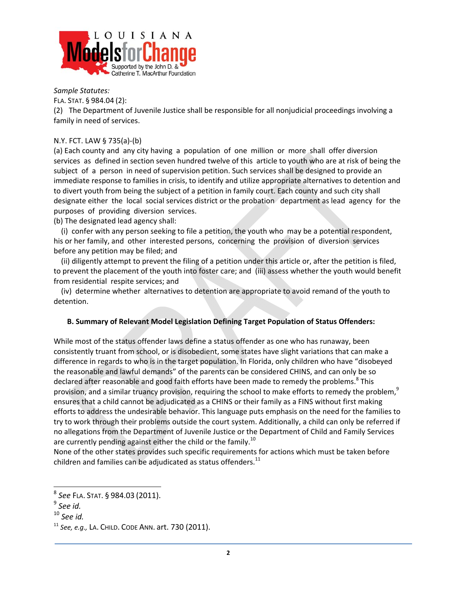

*Sample Statutes:* 

FLA. STAT. § 984.04 (2):

(2) The Department of Juvenile Justice shall be responsible for all nonjudicial proceedings involving a family in need of services.

### N.Y. FCT. LAW § 735(a)‐(b)

(a) Each county and any city having a population of one million or more shall offer diversion services as defined in section seven hundred twelve of this article to youth who are at risk of being the subject of a person in need of supervision petition. Such services shall be designed to provide an immediate response to families in crisis, to identify and utilize appropriate alternatives to detention and to divert youth from being the subject of a petition in family court. Each county and such city shall designate either the local social services district or the probation department as lead agency for the purposes of providing diversion services.

(b) The designated lead agency shall:

 (i) confer with any person seeking to file a petition, the youth who may be a potential respondent, his or her family, and other interested persons, concerning the provision of diversion services before any petition may be filed; and

 (ii) diligently attempt to prevent the filing of a petition under this article or, after the petition is filed, to prevent the placement of the youth into foster care; and (iii) assess whether the youth would benefit from residential respite services; and

 (iv) determine whether alternatives to detention are appropriate to avoid remand of the youth to detention.

### **B. Summary of Relevant Model Legislation Defining Target Population of Status Offenders:**

While most of the status offender laws define a status offender as one who has runaway, been consistently truant from school, or is disobedient, some states have slight variations that can make a difference in regards to who is in the target population. In Florida, only children who have "disobeyed the reasonable and lawful demands" of the parents can be considered CHINS, and can only be so declared after reasonable and good faith efforts have been made to remedy the problems.<sup>8</sup> This provision, and a similar truancy provision, requiring the school to make efforts to remedy the problem,<sup>9</sup> ensures that a child cannot be adjudicated as a CHINS or their family as a FINS without first making efforts to address the undesirable behavior. This language puts emphasis on the need for the families to try to work through their problems outside the court system. Additionally, a child can only be referred if no allegations from the Department of Juvenile Justice or the Department of Child and Family Services are currently pending against either the child or the family.<sup>10</sup>

None of the other states provides such specific requirements for actions which must be taken before children and families can be adjudicated as status offenders. $^{11}$ 

<sup>8</sup> *See* FLA. STAT. § 984.03 (2011).

<sup>9</sup> *See id.*

<sup>10</sup> *See id.*

<sup>11</sup> *See, e.g.,* LA. CHILD. CODE ANN. art. 730 (2011).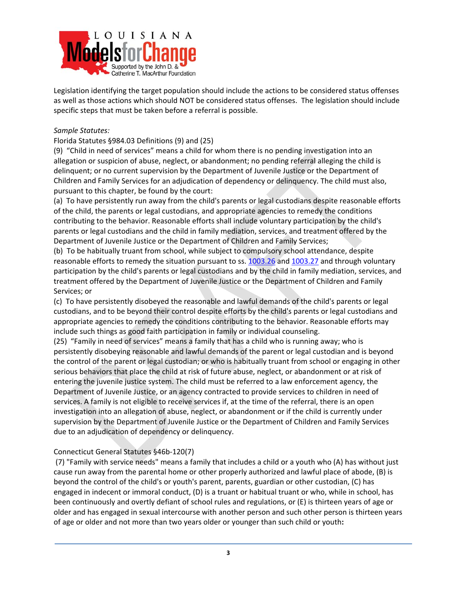

Legislation identifying the target population should include the actions to be considered status offenses as well as those actions which should NOT be considered status offenses. The legislation should include specific steps that must be taken before a referral is possible.

### *Sample Statutes:*

### Florida Statutes §984.03 Definitions (9) and (25)

(9) "Child in need of services" means a child for whom there is no pending investigation into an allegation or suspicion of abuse, neglect, or abandonment; no pending referral alleging the child is delinquent; or no current supervision by the Department of Juvenile Justice or the Department of Children and Family Services for an adjudication of dependency or delinquency. The child must also, pursuant to this chapter, be found by the court:

(a) To have persistently run away from the child's parents or legal custodians despite reasonable efforts of the child, the parents or legal custodians, and appropriate agencies to remedy the conditions contributing to the behavior. Reasonable efforts shall include voluntary participation by the child's parents or legal custodians and the child in family mediation, services, and treatment offered by the Department of Juvenile Justice or the Department of Children and Family Services;

(b) To be habitually truant from school, while subject to compulsory school attendance, despite reasonable efforts to remedy the situation pursuant to ss. 1003.26 and 1003.27 and through voluntary participation by the child's parents or legal custodians and by the child in family mediation, services, and treatment offered by the Department of Juvenile Justice or the Department of Children and Family Services; or

(c) To have persistently disobeyed the reasonable and lawful demands of the child's parents or legal custodians, and to be beyond their control despite efforts by the child's parents or legal custodians and appropriate agencies to remedy the conditions contributing to the behavior. Reasonable efforts may include such things as good faith participation in family or individual counseling.

(25) "Family in need of services" means a family that has a child who is running away; who is persistently disobeying reasonable and lawful demands of the parent or legal custodian and is beyond the control of the parent or legal custodian; or who is habitually truant from school or engaging in other serious behaviors that place the child at risk of future abuse, neglect, or abandonment or at risk of entering the juvenile justice system. The child must be referred to a law enforcement agency, the Department of Juvenile Justice, or an agency contracted to provide services to children in need of services. A family is not eligible to receive services if, at the time of the referral, there is an open investigation into an allegation of abuse, neglect, or abandonment or if the child is currently under supervision by the Department of Juvenile Justice or the Department of Children and Family Services due to an adjudication of dependency or delinquency.

# Connecticut General Statutes §46b‐120(7)

(7) "Family with service needs" means a family that includes a child or a youth who (A) has without just cause run away from the parental home or other properly authorized and lawful place of abode, (B) is beyond the control of the child's or youth's parent, parents, guardian or other custodian, (C) has engaged in indecent or immoral conduct, (D) is a truant or habitual truant or who, while in school, has been continuously and overtly defiant of school rules and regulations, or (E) is thirteen years of age or older and has engaged in sexual intercourse with another person and such other person is thirteen years of age or older and not more than two years older or younger than such child or youth**:**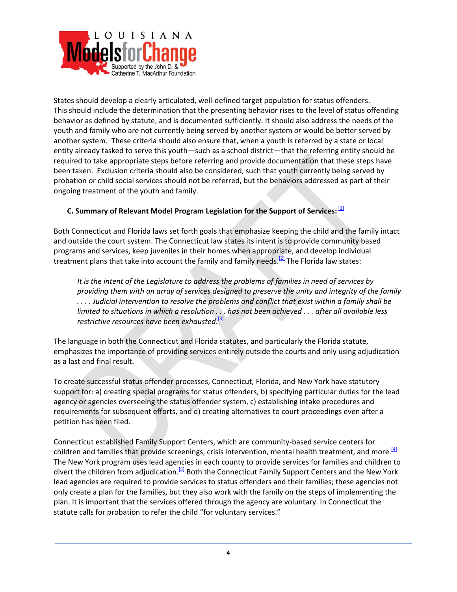

States should develop a clearly articulated, well‐defined target population for status offenders. This should include the determination that the presenting behavior rises to the level of status offending behavior as defined by statute, and is documented sufficiently. It should also address the needs of the youth and family who are not currently being served by another system *or* would be better served by another system. These criteria should also ensure that, when a youth is referred by a state or local entity already tasked to serve this youth—such as a school district—that the referring entity should be required to take appropriate steps before referring and provide documentation that these steps have been taken. Exclusion criteria should also be considered, such that youth currently being served by probation or child social services should not be referred, but the behaviors addressed as part of their ongoing treatment of the youth and family.

# **C. Summary of Relevant Model Program Legislation for the Support of Services:** [1]

Both Connecticut and Florida laws set forth goals that emphasize keeping the child and the family intact and outside the court system. The Connecticut law states its intent is to provide community based programs and services, keep juveniles in their homes when appropriate, and develop individual treatment plans that take into account the family and family needs.<sup>[2]</sup> The Florida law states:

*It is the intent of the Legislature to address the problems of families in need of services by providing them with an array of services designed to preserve the unity and integrity of the family* ... Judicial intervention to resolve the problems and conflict that exist within a family shall be limited to situations in which a resolution . . . has not been achieved . . . after all available less *restrictive resources have been exhausted*. [3]

The language in both the Connecticut and Florida statutes, and particularly the Florida statute, emphasizes the importance of providing services entirely outside the courts and only using adjudication as a last and final result.

To create successful status offender processes, Connecticut, Florida, and New York have statutory support for: a) creating special programs for status offenders, b) specifying particular duties for the lead agency or agencies overseeing the status offender system, c) establishing intake procedures and requirements for subsequent efforts, and d) creating alternatives to court proceedings even after a petition has been filed.

Connecticut established Family Support Centers, which are community‐based service centers for children and families that provide screenings, crisis intervention, mental health treatment, and more.<sup>[4]</sup> The New York program uses lead agencies in each county to provide services for families and children to divert the children from adjudication.<sup>[5]</sup> Both the Connecticut Family Support Centers and the New York lead agencies are required to provide services to status offenders and their families; these agencies not only create a plan for the families, but they also work with the family on the steps of implementing the plan. It is important that the services offered through the agency are voluntary. In Connecticut the statute calls for probation to refer the child "for voluntary services."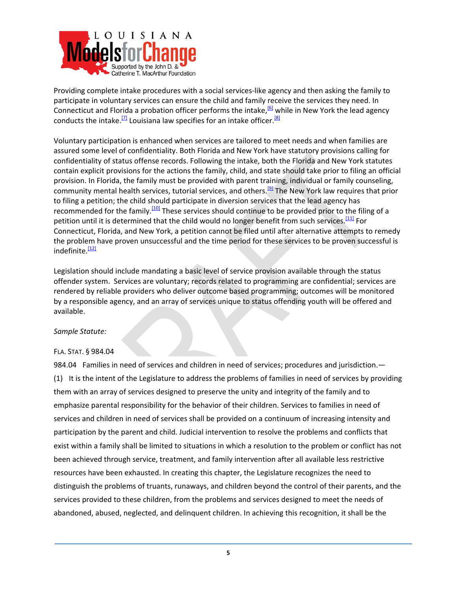

Providing complete intake procedures with a social services‐like agency and then asking the family to participate in voluntary services can ensure the child and family receive the services they need. In Connecticut and Florida a probation officer performs the intake,<sup>[6]</sup> while in New York the lead agency conducts the intake.<sup>[7]</sup> Louisiana law specifies for an intake officer.<sup>[8]</sup>

Voluntary participation is enhanced when services are tailored to meet needs and when families are assured some level of confidentiality. Both Florida and New York have statutory provisions calling for confidentiality of status offense records. Following the intake, both the Florida and New York statutes contain explicit provisions for the actions the family, child, and state should take prior to filing an official provision. In Florida, the family must be provided with parent training, individual or family counseling, community mental health services, tutorial services, and others.[9] The New York law requires that prior to filing a petition; the child should participate in diversion services that the lead agency has recommended for the family.[10] These services should continue to be provided prior to the filing of a petition until it is determined that the child would no longer benefit from such services.[11] For Connecticut, Florida, and New York, a petition cannot be filed until after alternative attempts to remedy the problem have proven unsuccessful and the time period for these services to be proven successful is indefinite.<sup>[12]</sup>

Legislation should include mandating a basic level of service provision available through the status offender system. Services are voluntary; records related to programming are confidential; services are rendered by reliable providers who deliver outcome based programming; outcomes will be monitored by a responsible agency, and an array of services unique to status offending youth will be offered and available.

### *Sample Statute:*

### FLA. STAT. § 984.04

984.04 Families in need of services and children in need of services; procedures and jurisdiction.-(1) It is the intent of the Legislature to address the problems of families in need of services by providing them with an array of services designed to preserve the unity and integrity of the family and to emphasize parental responsibility for the behavior of their children. Services to families in need of services and children in need of services shall be provided on a continuum of increasing intensity and participation by the parent and child. Judicial intervention to resolve the problems and conflicts that exist within a family shall be limited to situations in which a resolution to the problem or conflict has not been achieved through service, treatment, and family intervention after all available less restrictive resources have been exhausted. In creating this chapter, the Legislature recognizes the need to distinguish the problems of truants, runaways, and children beyond the control of their parents, and the services provided to these children, from the problems and services designed to meet the needs of abandoned, abused, neglected, and delinquent children. In achieving this recognition, it shall be the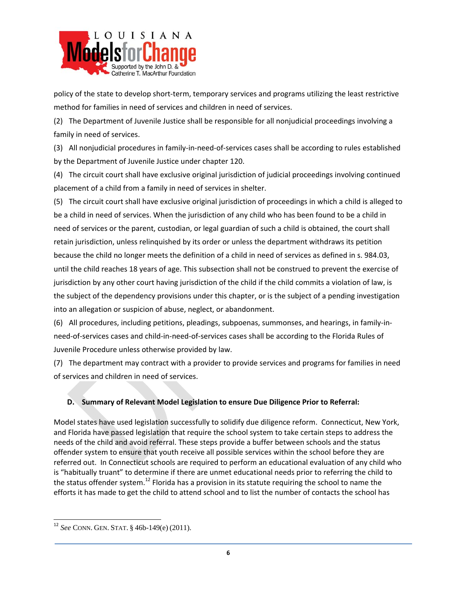

policy of the state to develop short-term, temporary services and programs utilizing the least restrictive method for families in need of services and children in need of services.

(2) The Department of Juvenile Justice shall be responsible for all nonjudicial proceedings involving a family in need of services.

(3) All nonjudicial procedures in family‐in‐need‐of‐services cases shall be according to rules established by the Department of Juvenile Justice under chapter 120.

(4) The circuit court shall have exclusive original jurisdiction of judicial proceedings involving continued placement of a child from a family in need of services in shelter.

(5) The circuit court shall have exclusive original jurisdiction of proceedings in which a child is alleged to be a child in need of services. When the jurisdiction of any child who has been found to be a child in need of services or the parent, custodian, or legal guardian of such a child is obtained, the court shall retain jurisdiction, unless relinquished by its order or unless the department withdraws its petition because the child no longer meets the definition of a child in need of services as defined in s. 984.03, until the child reaches 18 years of age. This subsection shall not be construed to prevent the exercise of jurisdiction by any other court having jurisdiction of the child if the child commits a violation of law, is the subject of the dependency provisions under this chapter, or is the subject of a pending investigation into an allegation or suspicion of abuse, neglect, or abandonment.

(6) All procedures, including petitions, pleadings, subpoenas, summonses, and hearings, in family‐in‐ need‐of‐services cases and child‐in‐need‐of‐services cases shall be according to the Florida Rules of Juvenile Procedure unless otherwise provided by law.

(7) The department may contract with a provider to provide services and programs for families in need of services and children in need of services.

# **D. Summary of Relevant Model Legislation to ensure Due Diligence Prior to Referral:**

Model states have used legislation successfully to solidify due diligence reform. Connecticut, New York, and Florida have passed legislation that require the school system to take certain steps to address the needs of the child and avoid referral. These steps provide a buffer between schools and the status offender system to ensure that youth receive all possible services within the school before they are referred out. In Connecticut schools are required to perform an educational evaluation of any child who is "habitually truant" to determine if there are unmet educational needs prior to referring the child to the status offender system.<sup>12</sup> Florida has a provision in its statute requiring the school to name the efforts it has made to get the child to attend school and to list the number of contacts the school has

<sup>12</sup> *See* CONN. GEN. STAT. § 46b-149(e) (2011).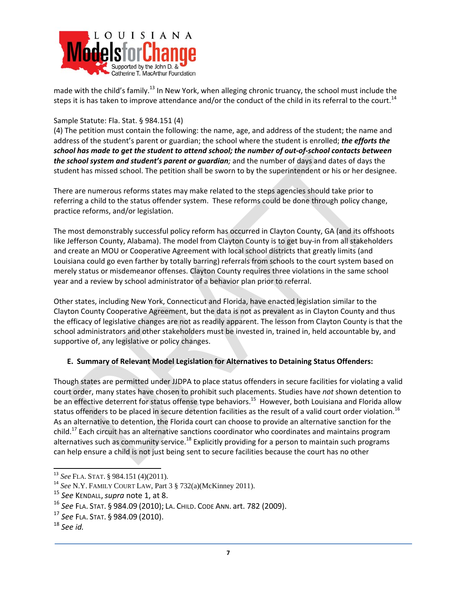

made with the child's family.<sup>13</sup> In New York, when alleging chronic truancy, the school must include the steps it is has taken to improve attendance and/or the conduct of the child in its referral to the court.<sup>14</sup>

### Sample Statute: Fla. Stat. § 984.151 (4)

(4) The petition must contain the following: the name, age, and address of the student; the name and address of the student's parent or guardian; the school where the student is enrolled; *the efforts the* school has made to get the student to attend school; the number of out-of-school contacts between *the school system and student's parent or guardian;* and the number of days and dates of days the student has missed school. The petition shall be sworn to by the superintendent or his or her designee.

There are numerous reforms states may make related to the steps agencies should take prior to referring a child to the status offender system. These reforms could be done through policy change, practice reforms, and/or legislation.

The most demonstrably successful policy reform has occurred in Clayton County, GA (and its offshoots like Jefferson County, Alabama). The model from Clayton County is to get buy-in from all stakeholders and create an MOU or Cooperative Agreement with local school districts that greatly limits (and Louisiana could go even farther by totally barring) referrals from schools to the court system based on merely status or misdemeanor offenses. Clayton County requires three violations in the same school year and a review by school administrator of a behavior plan prior to referral.

Other states, including New York, Connecticut and Florida, have enacted legislation similar to the Clayton County Cooperative Agreement, but the data is not as prevalent as in Clayton County and thus the efficacy of legislative changes are not as readily apparent. The lesson from Clayton County is that the school administrators and other stakeholders must be invested in, trained in, held accountable by, and supportive of, any legislative or policy changes.

# **E. Summary of Relevant Model Legislation for Alternatives to Detaining Status Offenders:**

Though states are permitted under JJDPA to place status offenders in secure facilities for violating a valid court order, many states have chosen to prohibit such placements. Studies have *not* shown detention to be an effective deterrent for status offense type behaviors.<sup>15</sup> However, both Louisiana and Florida allow status offenders to be placed in secure detention facilities as the result of a valid court order violation.<sup>16</sup> As an alternative to detention, the Florida court can choose to provide an alternative sanction for the child.<sup>17</sup> Each circuit has an alternative sanctions coordinator who coordinates and maintains program alternatives such as community service.<sup>18</sup> Explicitly providing for a person to maintain such programs can help ensure a child is not just being sent to secure facilities because the court has no other

<sup>13</sup> *See* FLA. STAT. § 984.151 (4)(2011).

<sup>14</sup> *See* N.Y. FAMILY COURT LAW, Part 3 § 732(a)(McKinney 2011).

<sup>15</sup> *See* KENDALL,*supra* note 1, at 8.

<sup>16</sup> *See* FLA. STAT. § 984.09 (2010); LA. CHILD. CODE ANN. art. 782 (2009).

<sup>17</sup> *See* FLA. STAT. § 984.09 (2010).

<sup>18</sup> *See id.*